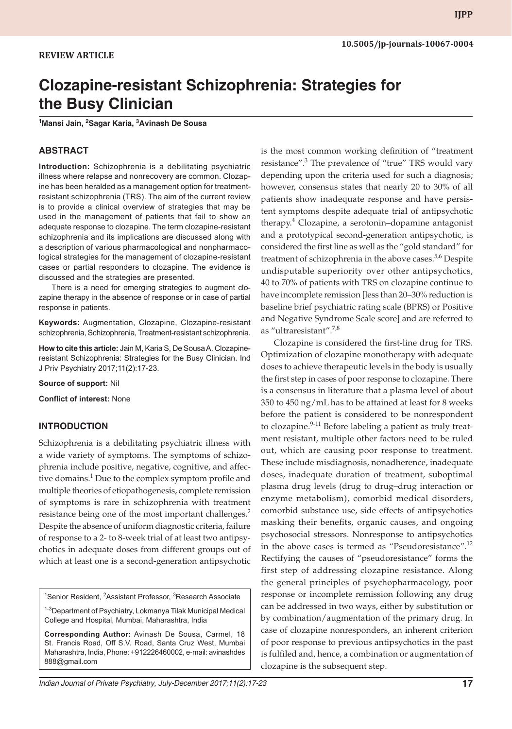# **Clozapine-resistant Schizophrenia: Strategies for the Busy Clinician**

**1 Mansi Jain, 2 Sagar Karia, <sup>3</sup> Avinash De Sousa**

#### **ABSTRACT**

**Introduction:** Schizophrenia is a debilitating psychiatric illness where relapse and nonrecovery are common. Clozapine has been heralded as a management option for treatmentresistant schizophrenia (TRS). The aim of the current review is to provide a clinical overview of strategies that may be used in the management of patients that fail to show an adequate response to clozapine. The term clozapine-resistant schizophrenia and its implications are discussed along with a description of various pharmacological and nonpharmacological strategies for the management of clozapine-resistant cases or partial responders to clozapine. The evidence is discussed and the strategies are presented.

There is a need for emerging strategies to augment clozapine therapy in the absence of response or in case of partial response in patients.

**Keywords:** Augmentation, Clozapine, Clozapine-resistant schizophrenia, Schizophrenia, Treatment-resistant schizophrenia.

**How to cite this article:** Jain M, Karia S, De Sousa A. Clozapineresistant Schizophrenia: Strategies for the Busy Clinician. Ind J Priv Psychiatry 2017;11(2):17-23.

**Source of support:** Nil

**Conflict of interest:** None

#### **INTRODUCTION**

Schizophrenia is a debilitating psychiatric illness with a wide variety of symptoms. The symptoms of schizophrenia include positive, negative, cognitive, and affective domains.<sup>1</sup> Due to the complex symptom profile and multiple theories of etiopathogenesis, complete remission of symptoms is rare in schizophrenia with treatment resistance being one of the most important challenges.<sup>2</sup> Despite the absence of uniform diagnostic criteria, failure of response to a 2- to 8-week trial of at least two antipsychotics in adequate doses from different groups out of which at least one is a second-generation antipsychotic

<sup>1</sup>Senior Resident, <sup>2</sup>Assistant Professor, <sup>3</sup>Research Associate

<sup>1-3</sup>Department of Psychiatry, Lokmanya Tilak Municipal Medical College and Hospital, Mumbai, Maharashtra, India

**Corresponding Author:** Avinash De Sousa, Carmel, 18 St. Francis Road, Off S.V. Road, Santa Cruz West, Mumbai Maharashtra, India, Phone: +912226460002, e-mail: avinashdes 888@gmail.com

is the most common working definition of "treatment resistance".<sup>3</sup> The prevalence of "true" TRS would vary depending upon the criteria used for such a diagnosis; however, consensus states that nearly 20 to 30% of all patients show inadequate response and have persistent symptoms despite adequate trial of antipsychotic therapy.<sup>4</sup> Clozapine, a serotonin–dopamine antagonist and a prototypical second-generation antipsychotic, is considered the first line as well as the "gold standard" for treatment of schizophrenia in the above cases.<sup>5,6</sup> Despite undisputable superiority over other antipsychotics, 40 to 70% of patients with TRS on clozapine continue to have incomplete remission [less than 20–30% reduction is baseline brief psychiatric rating scale (BPRS) or Positive and Negative Syndrome Scale score] and are referred to as "ultraresistant".7,8

Clozapine is considered the first-line drug for TRS. Optimization of clozapine monotherapy with adequate doses to achieve therapeutic levels in the body is usually the first step in cases of poor response to clozapine. There is a consensus in literature that a plasma level of about 350 to 450 ng/mL has to be attained at least for 8 weeks before the patient is considered to be nonrespondent to clozapine. $9-11$  Before labeling a patient as truly treatment resistant, multiple other factors need to be ruled out, which are causing poor response to treatment. These include misdiagnosis, nonadherence, inadequate doses, inadequate duration of treatment, suboptimal plasma drug levels (drug to drug–drug interaction or enzyme metabolism), comorbid medical disorders, comorbid substance use, side effects of antipsychotics masking their benefits, organic causes, and ongoing psychosocial stressors. Nonresponse to antipsychotics in the above cases is termed as "Pseudoresistance".<sup>12</sup> Rectifying the causes of "pseudoresistance" forms the first step of addressing clozapine resistance. Along the general principles of psychopharmacology, poor response or incomplete remission following any drug can be addressed in two ways, either by substitution or by combination/augmentation of the primary drug. In case of clozapine nonresponders, an inherent criterion of poor response to previous antipsychotics in the past is fulfiled and, hence, a combination or augmentation of clozapine is the subsequent step.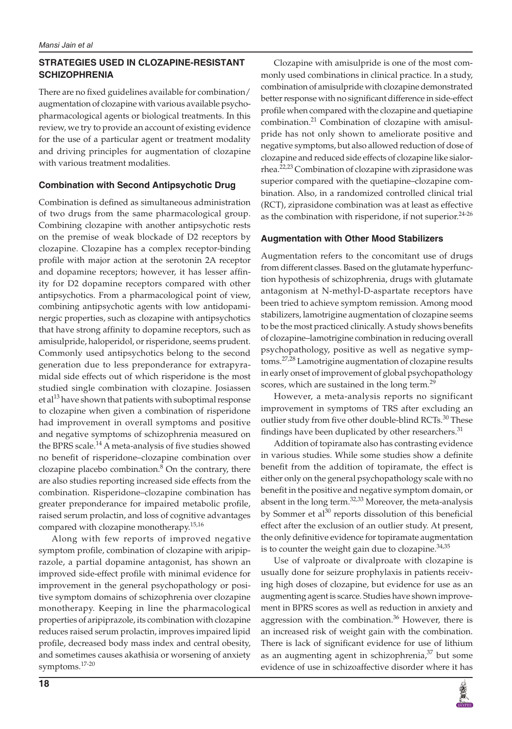# **STRATEGIES USED IN CLOZAPINE-RESISTANT SCHIZOPHRENIA**

There are no fixed guidelines available for combination/ augmentation of clozapine with various available psychopharmacological agents or biological treatments. In this review, we try to provide an account of existing evidence for the use of a particular agent or treatment modality and driving principles for augmentation of clozapine with various treatment modalities.

# **Combination with Second Antipsychotic Drug**

Combination is defined as simultaneous administration of two drugs from the same pharmacological group. Combining clozapine with another antipsychotic rests on the premise of weak blockade of D2 receptors by clozapine. Clozapine has a complex receptor-binding profile with major action at the serotonin 2A receptor and dopamine receptors; however, it has lesser affinity for D2 dopamine receptors compared with other antipsychotics. From a pharmacological point of view, combining antipsychotic agents with low antidopaminergic properties, such as clozapine with antipsychotics that have strong affinity to dopamine receptors, such as amisulpride, haloperidol, or risperidone, seems prudent. Commonly used antipsychotics belong to the second generation due to less preponderance for extrapyramidal side effects out of which risperidone is the most studied single combination with clozapine. Josiassen et al<sup>13</sup> have shown that patients with suboptimal response to clozapine when given a combination of risperidone had improvement in overall symptoms and positive and negative symptoms of schizophrenia measured on the BPRS scale.<sup>14</sup> A meta-analysis of five studies showed no benefit of risperidone–clozapine combination over clozapine placebo combination. $8$  On the contrary, there are also studies reporting increased side effects from the combination. Risperidone–clozapine combination has greater preponderance for impaired metabolic profile, raised serum prolactin, and loss of cognitive advantages compared with clozapine monotherapy.15,16

Along with few reports of improved negative symptom profile, combination of clozapine with aripiprazole, a partial dopamine antagonist, has shown an improved side-effect profile with minimal evidence for improvement in the general psychopathology or positive symptom domains of schizophrenia over clozapine monotherapy. Keeping in line the pharmacological properties of aripiprazole, its combination with clozapine reduces raised serum prolactin, improves impaired lipid profile, decreased body mass index and central obesity, and sometimes causes akathisia or worsening of anxiety symptoms.17-20

Clozapine with amisulpride is one of the most commonly used combinations in clinical practice. In a study, combination of amisulpride with clozapine demonstrated better response with no significant difference in side-effect profile when compared with the clozapine and quetiapine combination.<sup>21</sup> Combination of clozapine with amisulpride has not only shown to ameliorate positive and negative symptoms, but also allowed reduction of dose of clozapine and reduced side effects of clozapine like sialorrhea.<sup>22,23</sup> Combination of clozapine with ziprasidone was superior compared with the quetiapine–clozapine combination. Also, in a randomized controlled clinical trial (RCT), ziprasidone combination was at least as effective as the combination with risperidone, if not superior. $24-26$ 

# **Augmentation with Other Mood Stabilizers**

Augmentation refers to the concomitant use of drugs from different classes. Based on the glutamate hyperfunction hypothesis of schizophrenia, drugs with glutamate antagonism at N-methyl-D-aspartate receptors have been tried to achieve symptom remission. Among mood stabilizers, lamotrigine augmentation of clozapine seems to be the most practiced clinically. A study shows benefits of clozapine–lamotrigine combination in reducing overall psychopathology, positive as well as negative symptoms.27,28 Lamotrigine augmentation of clozapine results in early onset of improvement of global psychopathology scores, which are sustained in the long term.<sup>29</sup>

However, a meta-analysis reports no significant improvement in symptoms of TRS after excluding an outlier study from five other double-blind RCTs.<sup>30</sup> These findings have been duplicated by other researchers. $31$ 

Addition of topiramate also has contrasting evidence in various studies. While some studies show a definite benefit from the addition of topiramate, the effect is either only on the general psychopathology scale with no benefit in the positive and negative symptom domain, or absent in the long term. $32,33$  Moreover, the meta-analysis by Sommer et  $al^{30}$  reports dissolution of this beneficial effect after the exclusion of an outlier study. At present, the only definitive evidence for topiramate augmentation is to counter the weight gain due to clozapine. $34,35$ 

Use of valproate or divalproate with clozapine is usually done for seizure prophylaxis in patients receiving high doses of clozapine, but evidence for use as an augmenting agent is scarce. Studies have shown improvement in BPRS scores as well as reduction in anxiety and aggression with the combination.<sup>36</sup> However, there is an increased risk of weight gain with the combination. There is lack of significant evidence for use of lithium as an augmenting agent in schizophrenia, $37$  but some evidence of use in schizoaffective disorder where it has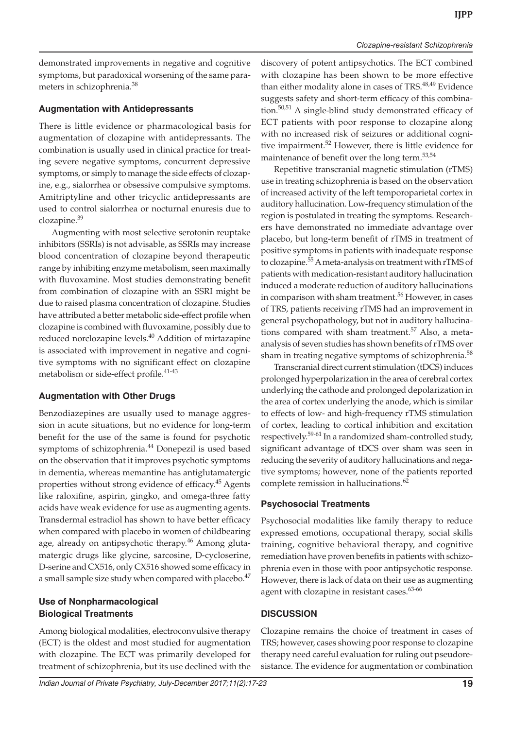demonstrated improvements in negative and cognitive symptoms, but paradoxical worsening of the same parameters in schizophrenia.38

#### **Augmentation with Antidepressants**

There is little evidence or pharmacological basis for augmentation of clozapine with antidepressants. The combination is usually used in clinical practice for treating severe negative symptoms, concurrent depressive symptoms, or simply to manage the side effects of clozapine, e.g., sialorrhea or obsessive compulsive symptoms. Amitriptyline and other tricyclic antidepressants are used to control sialorrhea or nocturnal enuresis due to clozapine.<sup>39</sup>

Augmenting with most selective serotonin reuptake inhibitors (SSRIs) is not advisable, as SSRIs may increase blood concentration of clozapine beyond therapeutic range by inhibiting enzyme metabolism, seen maximally with fluvoxamine. Most studies demonstrating benefit from combination of clozapine with an SSRI might be due to raised plasma concentration of clozapine. Studies have attributed a better metabolic side-effect profile when clozapine is combined with fluvoxamine, possibly due to reduced norclozapine levels.<sup>40</sup> Addition of mirtazapine is associated with improvement in negative and cognitive symptoms with no significant effect on clozapine metabolism or side-effect profile.<sup>41-43</sup>

## **Augmentation with Other Drugs**

Benzodiazepines are usually used to manage aggression in acute situations, but no evidence for long-term benefit for the use of the same is found for psychotic symptoms of schizophrenia.<sup>44</sup> Donepezil is used based on the observation that it improves psychotic symptoms in dementia, whereas memantine has antiglutamatergic properties without strong evidence of efficacy.<sup>45</sup> Agents like raloxifine, aspirin, gingko, and omega-three fatty acids have weak evidence for use as augmenting agents. Transdermal estradiol has shown to have better efficacy when compared with placebo in women of childbearing age, already on antipsychotic therapy.<sup>46</sup> Among glutamatergic drugs like glycine, sarcosine, D-cycloserine, D-serine and CX516, only CX516 showed some efficacy in a small sample size study when compared with placebo.<sup>47</sup>

# **Use of Nonpharmacological Biological Treatments**

Among biological modalities, electroconvulsive therapy (ECT) is the oldest and most studied for augmentation with clozapine. The ECT was primarily developed for treatment of schizophrenia, but its use declined with the

discovery of potent antipsychotics. The ECT combined with clozapine has been shown to be more effective than either modality alone in cases of TRS.<sup>48,49</sup> Evidence suggests safety and short-term efficacy of this combination.<sup>50,51</sup> A single-blind study demonstrated efficacy of ECT patients with poor response to clozapine along with no increased risk of seizures or additional cognitive impairment.52 However, there is little evidence for maintenance of benefit over the long term.<sup>53,54</sup>

Repetitive transcranial magnetic stimulation (rTMS) use in treating schizophrenia is based on the observation of increased activity of the left temporoparietal cortex in auditory hallucination. Low-frequency stimulation of the region is postulated in treating the symptoms. Researchers have demonstrated no immediate advantage over placebo, but long-term benefit of rTMS in treatment of positive symptoms in patients with inadequate response to clozapine.<sup>55</sup> A meta-analysis on treatment with rTMS of patients with medication-resistant auditory hallucination induced a moderate reduction of auditory hallucinations in comparison with sham treatment.<sup>56</sup> However, in cases of TRS, patients receiving rTMS had an improvement in general psychopathology, but not in auditory hallucinations compared with sham treatment.<sup>57</sup> Also, a metaanalysis of seven studies has shown benefits of rTMS over sham in treating negative symptoms of schizophrenia.<sup>58</sup>

Transcranial direct current stimulation (tDCS) induces prolonged hyperpolarization in the area of cerebral cortex underlying the cathode and prolonged depolarization in the area of cortex underlying the anode, which is similar to effects of low- and high-frequency rTMS stimulation of cortex, leading to cortical inhibition and excitation respectively.<sup>59-61</sup> In a randomized sham-controlled study, significant advantage of tDCS over sham was seen in reducing the severity of auditory hallucinations and negative symptoms; however, none of the patients reported complete remission in hallucinations.<sup>62</sup>

# **Psychosocial Treatments**

Psychosocial modalities like family therapy to reduce expressed emotions, occupational therapy, social skills training, cognitive behavioral therapy, and cognitive remediation have proven benefits in patients with schizophrenia even in those with poor antipsychotic response. However, there is lack of data on their use as augmenting agent with clozapine in resistant cases.<sup>63-66</sup>

## **DISCUSSION**

Clozapine remains the choice of treatment in cases of TRS; however, cases showing poor response to clozapine therapy need careful evaluation for ruling out pseudoresistance. The evidence for augmentation or combination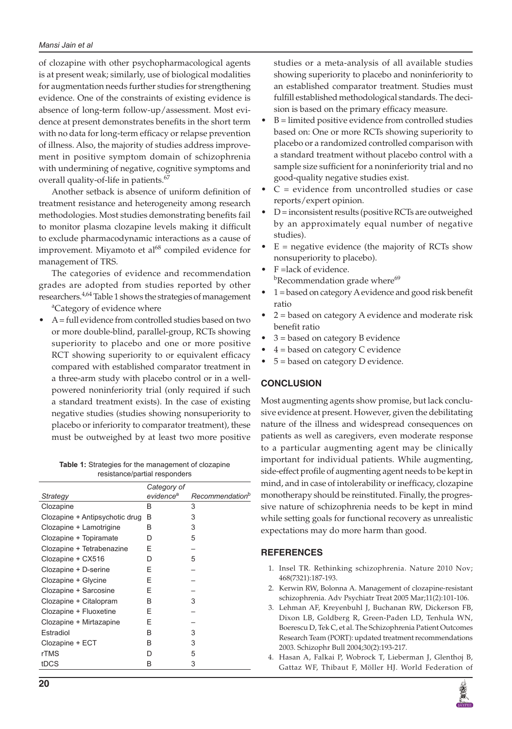of clozapine with other psychopharmacological agents is at present weak; similarly, use of biological modalities for augmentation needs further studies for strengthening evidence. One of the constraints of existing evidence is absence of long-term follow-up/assessment. Most evidence at present demonstrates benefits in the short term with no data for long-term efficacy or relapse prevention of illness. Also, the majority of studies address improvement in positive symptom domain of schizophrenia with undermining of negative, cognitive symptoms and overall quality-of-life in patients.<sup>67</sup>

Another setback is absence of uniform definition of treatment resistance and heterogeneity among research methodologies. Most studies demonstrating benefits fail to monitor plasma clozapine levels making it difficult to exclude pharmacodynamic interactions as a cause of improvement. Miyamoto et al $^{68}$  compiled evidence for management of TRS.

The categories of evidence and recommendation grades are adopted from studies reported by other researchers.<sup>4,64</sup> Table 1 shows the strategies of management <sup>a</sup>Category of evidence where

 $A =$  full evidence from controlled studies based on two or more double-blind, parallel-group, RCTs showing superiority to placebo and one or more positive RCT showing superiority to or equivalent efficacy compared with established comparator treatment in a three-arm study with placebo control or in a wellpowered noninferiority trial (only required if such a standard treatment exists). In the case of existing negative studies (studies showing nonsuperiority to placebo or inferiority to comparator treatment), these must be outweighed by at least two more positive

**Table 1:** Strategies for the management of clozapine resistance/partial responders

|                                | Category of           |                             |
|--------------------------------|-----------------------|-----------------------------|
| Strategy                       | evidence <sup>a</sup> | Recommendation <sup>b</sup> |
| Clozapine                      | B                     | 3                           |
| Clozapine + Antipsychotic drug | B                     | 3                           |
| Clozapine + Lamotrigine        | B                     | 3                           |
| Clozapine + Topiramate         | D                     | 5                           |
| Clozapine + Tetrabenazine      | F                     |                             |
| Clozapine + CX516              | D                     | 5                           |
| Clozapine + D-serine           | Е                     |                             |
| Clozapine + Glycine            | Е                     |                             |
| Clozapine + Sarcosine          | E                     |                             |
| Clozapine + Citalopram         | B                     | 3                           |
| Clozapine + Fluoxetine         | F                     |                             |
| Clozapine + Mirtazapine        | F                     |                             |
| Estradiol                      | B                     | 3                           |
| Clozapine + ECT                | B                     | 3                           |
| rTMS                           | D                     | 5                           |
| tDCS                           | B                     | 3                           |
|                                |                       |                             |

studies or a meta-analysis of all available studies showing superiority to placebo and noninferiority to an established comparator treatment. Studies must fulfill established methodological standards. The decision is based on the primary efficacy measure.

- $B =$  limited positive evidence from controlled studies based on: One or more RCTs showing superiority to placebo or a randomized controlled comparison with a standard treatment without placebo control with a sample size sufficient for a noninferiority trial and no good-quality negative studies exist.
- $C =$  evidence from uncontrolled studies or case reports/expert opinion.
- $D =$  inconsistent results (positive RCTs are outweighed by an approximately equal number of negative studies).
- $E =$  negative evidence (the majority of RCTs show nonsuperiority to placebo).
- F =lack of evidence. <sup>b</sup>Recommendation grade where<sup>69</sup>
- $1 =$  based on category A evidence and good risk benefit ratio
- $2 =$  based on category A evidence and moderate risk benefit ratio
- $3 =$  based on category B evidence
- $4 =$  based on category C evidence
- $5 =$  based on category D evidence.

## **CONCLUSION**

Most augmenting agents show promise, but lack conclusive evidence at present. However, given the debilitating nature of the illness and widespread consequences on patients as well as caregivers, even moderate response to a particular augmenting agent may be clinically important for individual patients. While augmenting, side-effect profile of augmenting agent needs to be kept in mind, and in case of intolerability or inefficacy, clozapine monotherapy should be reinstituted. Finally, the progressive nature of schizophrenia needs to be kept in mind while setting goals for functional recovery as unrealistic expectations may do more harm than good.

#### **REFERENCES**

- 1. Insel TR. Rethinking schizophrenia. Nature 2010 Nov; 468(7321):187-193.
- 2. Kerwin RW, Bolonna A. Management of clozapine-resistant schizophrenia. Adv Psychiatr Treat 2005 Mar;11(2):101-106.
- 3. Lehman AF, Kreyenbuhl J, Buchanan RW, Dickerson FB, Dixon LB, Goldberg R, Green-Paden LD, Tenhula WN, Boerescu D, Tek C, et al. The Schizophrenia Patient Outcomes Research Team (PORT): updated treatment recommendations 2003. Schizophr Bull 2004;30(2):193-217.
- 4. Hasan A, Falkai P, Wobrock T, Lieberman J, Glenthoj B, Gattaz WF, Thibaut F, Möller HJ. World Federation of

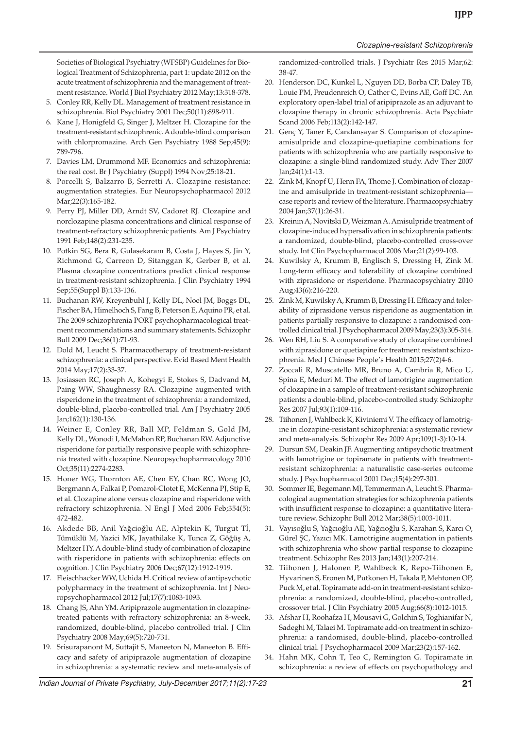*Clozapine-resistant Schizophrenia*

Societies of Biological Psychiatry (WFSBP) Guidelines for Biological Treatment of Schizophrenia, part 1: update 2012 on the acute treatment of schizophrenia and the management of treatment resistance. World J Biol Psychiatry 2012 May;13:318-378.

- 5. Conley RR, Kelly DL. Management of treatment resistance in schizophrenia. Biol Psychiatry 2001 Dec;50(11):898-911.
- 6. Kane J, Honigfeld G, Singer J, Meltzer H. Clozapine for the treatment-resistant schizophrenic. A double-blind comparison with chlorpromazine. Arch Gen Psychiatry 1988 Sep;45(9): 789-796.
- 7. Davies LM, Drummond MF. Economics and schizophrenia: the real cost. Br J Psychiatry (Suppl) 1994 Nov;25:18-21.
- 8. Porcelli S, Balzarro B, Serretti A. Clozapine resistance: augmentation strategies. Eur Neuropsychopharmacol 2012 Mar;22(3):165-182.
- 9. Perry PJ, Miller DD, Arndt SV, Cadoret RJ. Clozapine and norclozapine plasma concentrations and clinical response of treatment-refractory schizophrenic patients. Am J Psychiatry 1991 Feb;148(2):231-235.
- 10. Potkin SG, Bera R, Gulasekaram B, Costa J, Hayes S, Jin Y, Richmond G, Carreon D, Sitanggan K, Gerber B, et al. Plasma clozapine concentrations predict clinical response in treatment-resistant schizophrenia. J Clin Psychiatry 1994 Sep;55(Suppl B):133-136.
- 11. Buchanan RW, Kreyenbuhl J, Kelly DL, Noel JM, Boggs DL, Fischer BA, Himelhoch S, Fang B, Peterson E, Aquino PR, et al. The 2009 schizophrenia PORT psychopharmacological treatment recommendations and summary statements. Schizophr Bull 2009 Dec;36(1):71-93.
- 12. Dold M, Leucht S. Pharmacotherapy of treatment-resistant schizophrenia: a clinical perspective. Evid Based Ment Health 2014 May;17(2):33-37.
- 13. Josiassen RC, Joseph A, Kohegyi E, Stokes S, Dadvand M, Paing WW, Shaughnessy RA. Clozapine augmented with risperidone in the treatment of schizophrenia: a randomized, double-blind, placebo-controlled trial. Am J Psychiatry 2005 Jan;162(1):130-136.
- 14. Weiner E, Conley RR, Ball MP, Feldman S, Gold JM, Kelly DL, Wonodi I, McMahon RP, Buchanan RW. Adjunctive risperidone for partially responsive people with schizophrenia treated with clozapine. Neuropsychopharmacology 2010 Oct;35(11):2274-2283.
- 15. Honer WG, Thornton AE, Chen EY, Chan RC, Wong JO, Bergmann A, Falkai P, Pomarol-Clotet E, McKenna PJ, Stip E, et al. Clozapine alone versus clozapine and risperidone with refractory schizophrenia. N Engl J Med 2006 Feb;354(5): 472-482.
- 16. Akdede BB, Anil Yağcioğlu AE, Alptekin K, Turgut Tİ, Tümüklü M, Yazici MK, Jayathilake K, Tunca Z, Göğüş A, Meltzer HY. A double-blind study of combination of clozapine with risperidone in patients with schizophrenia: effects on cognition. J Clin Psychiatry 2006 Dec;67(12):1912-1919.
- 17. Fleischhacker WW, Uchida H. Critical review of antipsychotic polypharmacy in the treatment of schizophrenia. Int J Neuropsychopharmacol 2012 Jul;17(7):1083-1093.
- 18. Chang JS, Ahn YM. Aripiprazole augmentation in clozapinetreated patients with refractory schizophrenia: an 8-week, randomized, double-blind, placebo controlled trial. J Clin Psychiatry 2008 May;69(5):720-731.
- 19. Srisurapanont M, Suttajit S, Maneeton N, Maneeton B. Efficacy and safety of aripiprazole augmentation of clozapine in schizophrenia: a systematic review and meta-analysis of

randomized-controlled trials. J Psychiatr Res 2015 Mar;62: 38-47.

- 20. Henderson DC, Kunkel L, Nguyen DD, Borba CP, Daley TB, Louie PM, Freudenreich O, Cather C, Evins AE, Goff DC. An exploratory open‐label trial of aripiprazole as an adjuvant to clozapine therapy in chronic schizophrenia. Acta Psychiatr Scand 2006 Feb;113(2):142-147.
- 21. Genç Y, Taner E, Candansayar S. Comparison of clozapineamisulpride and clozapine-quetiapine combinations for patients with schizophrenia who are partially responsive to clozapine: a single-blind randomized study. Adv Ther 2007 Jan;24(1):1-13.
- 22. Zink M, Knopf U, Henn FA, Thome J. Combination of clozapine and amisulpride in treatment-resistant schizophrenia case reports and review of the literature. Pharmacopsychiatry 2004 Jan;37(1):26-31.
- 23. Kreinin A, Novitski D, Weizman A. Amisulpride treatment of clozapine-induced hypersalivation in schizophrenia patients: a randomized, double-blind, placebo-controlled cross-over study. Int Clin Psychopharmacol 2006 Mar;21(2):99-103.
- 24. Kuwilsky A, Krumm B, Englisch S, Dressing H, Zink M. Long-term efficacy and tolerability of clozapine combined with ziprasidone or risperidone. Pharmacopsychiatry 2010 Aug;43(6):216-220.
- 25. Zink M, Kuwilsky A, Krumm B, Dressing H. Efficacy and tolerability of ziprasidone versus risperidone as augmentation in patients partially responsive to clozapine: a randomised controlled clinical trial. J Psychopharmacol 2009 May;23(3):305-314.
- 26. Wen RH, Liu S. A comparative study of clozapine combined with ziprasidone or quetiapine for treatment resistant schizophrenia. Med J Chinese People's Health 2015;27(2)4-6.
- 27. Zoccali R, Muscatello MR, Bruno A, Cambria R, Mico U, Spina E, Meduri M. The effect of lamotrigine augmentation of clozapine in a sample of treatment-resistant schizophrenic patients: a double-blind, placebo-controlled study. Schizophr Res 2007 Jul;93(1):109-116.
- 28. Tiihonen J, Wahlbeck K, Kiviniemi V. The efficacy of lamotrigine in clozapine-resistant schizophrenia: a systematic review and meta-analysis. Schizophr Res 2009 Apr;109(1-3):10-14.
- 29. Dursun SM, Deakin JF. Augmenting antipsychotic treatment with lamotrigine or topiramate in patients with treatmentresistant schizophrenia: a naturalistic case-series outcome study. J Psychopharmacol 2001 Dec;15(4):297-301.
- 30. Sommer IE, Begemann MJ, Temmerman A, Leucht S. Pharmacological augmentation strategies for schizophrenia patients with insufficient response to clozapine: a quantitative literature review. Schizophr Bull 2012 Mar;38(5):1003-1011.
- 31. Vayısoğlu S, Yağcıoğlu AE, Yağcıoğlu S, Karahan S, Karcı O, Gürel ŞC, Yazıcı MK. Lamotrigine augmentation in patients with schizophrenia who show partial response to clozapine treatment. Schizophr Res 2013 Jan;143(1):207-214.
- 32. Tiihonen J, Halonen P, Wahlbeck K, Repo-Tiihonen E, Hyvarinen S, Eronen M, Putkonen H, Takala P, Mehtonen OP, Puck M, et al. Topiramate add-on in treatment-resistant schizophrenia: a randomized, double-blind, placebo-controlled, crossover trial. J Clin Psychiatry 2005 Aug;66(8):1012-1015.
- 33. Afshar H, Roohafza H, Mousavi G, Golchin S, Toghianifar N, Sadeghi M, Talaei M. Topiramate add-on treatment in schizophrenia: a randomised, double-blind, placebo-controlled clinical trial. J Psychopharmacol 2009 Mar;23(2):157-162.
- 34. Hahn MK, Cohn T, Teo C, Remington G. Topiramate in schizophrenia: a review of effects on psychopathology and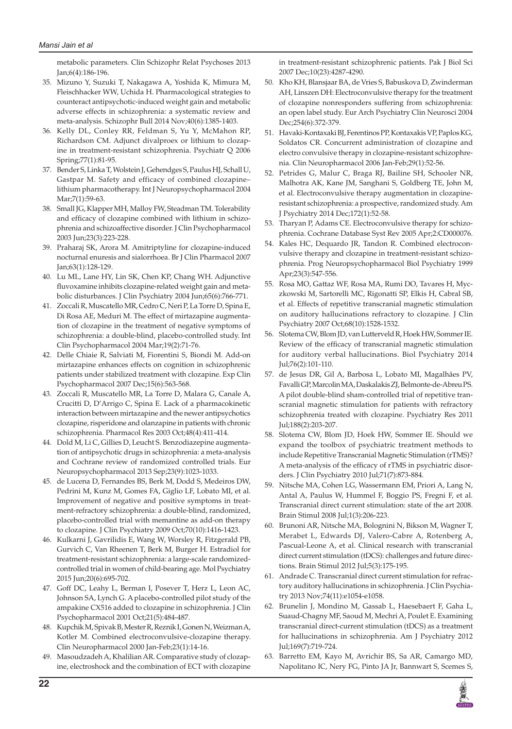metabolic parameters. Clin Schizophr Relat Psychoses 2013 Jan;6(4):186-196.

- 35. Mizuno Y, Suzuki T, Nakagawa A, Yoshida K, Mimura M, Fleischhacker WW, Uchida H. Pharmacological strategies to counteract antipsychotic-induced weight gain and metabolic adverse effects in schizophrenia: a systematic review and meta-analysis. Schizophr Bull 2014 Nov;40(6):1385-1403.
- 36. Kelly DL, Conley RR, Feldman S, Yu Y, McMahon RP, Richardson CM. Adjunct divalproex or lithium to clozapine in treatment-resistant schizophrenia. Psychiatr Q 2006 Spring;77(1):81-95.
- 37. Bender S, Linka T, Wolstein J, Gehendges S, Paulus HJ, Schall U, Gastpar M. Safety and efficacy of combined clozapine– lithium pharmacotherapy. Int J Neuropsychopharmacol 2004 Mar;7(1):59-63.
- 38. Small JG, Klapper MH, Malloy FW, Steadman TM. Tolerability and efficacy of clozapine combined with lithium in schizophrenia and schizoaffective disorder. J Clin Psychopharmacol 2003 Jun;23(3):223-228.
- 39. Praharaj SK, Arora M. Amitriptyline for clozapine-induced nocturnal enuresis and sialorrhoea. Br J Clin Pharmacol 2007 Jan;63(1):128-129.
- 40. Lu ML, Lane HY, Lin SK, Chen KP, Chang WH. Adjunctive fluvoxamine inhibits clozapine-related weight gain and metabolic disturbances. J Clin Psychiatry 2004 Jun;65(6):766-771.
- 41. Zoccali R, Muscatello MR, Cedro C, Neri P, La Torre D, Spina E, Di Rosa AE, Meduri M. The effect of mirtazapine augmentation of clozapine in the treatment of negative symptoms of schizophrenia: a double-blind, placebo-controlled study. Int Clin Psychopharmacol 2004 Mar;19(2):71-76.
- 42. Delle Chiaie R, Salviati M, Fiorentini S, Biondi M. Add-on mirtazapine enhances effects on cognition in schizophrenic patients under stabilized treatment with clozapine. Exp Clin Psychopharmacol 2007 Dec;15(6):563-568.
- 43. Zoccali R, Muscatello MR, La Torre D, Malara G, Canale A, Crucitti D, D'Arrigo C, Spina E. Lack of a pharmacokinetic interaction between mirtazapine and the newer antipsychotics clozapine, risperidone and olanzapine in patients with chronic schizophrenia. Pharmacol Res 2003 Oct;48(4):411-414.
- 44. Dold M, Li C, Gillies D, Leucht S. Benzodiazepine augmentation of antipsychotic drugs in schizophrenia: a meta-analysis and Cochrane review of randomized controlled trials. Eur Neuropsychopharmacol 2013 Sep;23(9):1023-1033.
- 45. de Lucena D, Fernandes BS, Berk M, Dodd S, Medeiros DW, Pedrini M, Kunz M, Gomes FA, Giglio LF, Lobato MI, et al. Improvement of negative and positive symptoms in treatment-refractory schizophrenia: a double-blind, randomized, placebo-controlled trial with memantine as add-on therapy to clozapine. J Clin Psychiatry 2009 Oct;70(10):1416-1423.
- 46. Kulkarni J, Gavrilidis E, Wang W, Worsley R, Fitzgerald PB, Gurvich C, Van Rheenen T, Berk M, Burger H. Estradiol for treatment-resistant schizophrenia: a large-scale randomizedcontrolled trial in women of child-bearing age. Mol Psychiatry 2015 Jun;20(6):695-702.
- 47. Goff DC, Leahy L, Berman I, Posever T, Herz L, Leon AC, Johnson SA, Lynch G. A placebo-controlled pilot study of the ampakine CX516 added to clozapine in schizophrenia. J Clin Psychopharmacol 2001 Oct;21(5):484-487.
- 48. Kupchik M, Spivak B, Mester R, Reznik I, Gonen N, Weizman A, Kotler M. Combined electroconvulsive-clozapine therapy. Clin Neuropharmacol 2000 Jan-Feb;23(1):14-16.
- 49. Masoudzadeh A, Khalilian AR. Comparative study of clozapine, electroshock and the combination of ECT with clozapine

in treatment-resistant schizophrenic patients. Pak J Biol Sci 2007 Dec;10(23):4287-4290.

- 50. Kho KH, Blansjaar BA, de Vries S, Babuskova D, Zwinderman AH, Linszen DH: Electroconvulsive therapy for the treatment of clozapine nonresponders suffering from schizophrenia: an open label study. Eur Arch Psychiatry Clin Neurosci 2004 Dec;254(6):372-379.
- 51. Havaki-Kontaxaki BJ, Ferentinos PP, Kontaxakis VP, Paplos KG, Soldatos CR. Concurrent administration of clozapine and electro convulsive therapy in clozapine-resistant schizophrenia. Clin Neuropharmacol 2006 Jan-Feb;29(1):52-56.
- 52. Petrides G, Malur C, Braga RJ, Bailine SH, Schooler NR, Malhotra AK, Kane JM, Sanghani S, Goldberg TE, John M, et al. Electroconvulsive therapy augmentation in clozapineresistant schizophrenia: a prospective, randomized study. Am J Psychiatry 2014 Dec;172(1):52-58.
- 53. Tharyan P, Adams CE. Electroconvulsive therapy for schizophrenia. Cochrane Database Syst Rev 2005 Apr;2:CD000076.
- 54. Kales HC, Dequardo JR, Tandon R. Combined electroconvulsive therapy and clozapine in treatment-resistant schizophrenia. Prog Neuropsychopharmacol Biol Psychiatry 1999 Apr;23(3):547-556.
- 55. Rosa MO, Gattaz WF, Rosa MA, Rumi DO, Tavares H, Myczkowski M, Sartorelli MC, Rigonatti SP, Elkis H, Cabral SB, et al. Effects of repetitive transcranial magnetic stimulation on auditory hallucinations refractory to clozapine. J Clin Psychiatry 2007 Oct;68(10):1528-1532.
- 56. Slotema CW, Blom JD, van Lutterveld R, Hoek HW, Sommer IE. Review of the efficacy of transcranial magnetic stimulation for auditory verbal hallucinations. Biol Psychiatry 2014 Jul;76(2):101-110.
- 57. de Jesus DR, Gil A, Barbosa L, Lobato MI, Magalhães PV, Favalli GP, Marcolin MA, Daskalakis ZJ, Belmonte-de-Abreu PS. A pilot double-blind sham-controlled trial of repetitive transcranial magnetic stimulation for patients with refractory schizophrenia treated with clozapine. Psychiatry Res 2011 Jul;188(2):203-207.
- 58. Slotema CW, Blom JD, Hoek HW, Sommer IE. Should we expand the toolbox of psychiatric treatment methods to include Repetitive Transcranial Magnetic Stimulation (rTMS)? A meta-analysis of the efficacy of rTMS in psychiatric disorders. J Clin Psychiatry 2010 Jul;71(7):873-884.
- 59. Nitsche MA, Cohen LG, Wassermann EM, Priori A, Lang N, Antal A, Paulus W, Hummel F, Boggio PS, Fregni F, et al. Transcranial direct current stimulation: state of the art 2008. Brain Stimul 2008 Jul;1(3):206-223.
- 60. Brunoni AR, Nitsche MA, Bolognini N, Bikson M, Wagner T, Merabet L, Edwards DJ, Valero-Cabre A, Rotenberg A, Pascual-Leone A, et al. Clinical research with transcranial direct current stimulation (tDCS): challenges and future directions. Brain Stimul 2012 Jul;5(3):175-195.
- 61. Andrade C. Transcranial direct current stimulation for refractory auditory hallucinations in schizophrenia. J Clin Psychiatry 2013 Nov;74(11):e1054-e1058.
- 62. Brunelin J, Mondino M, Gassab L, Haesebaert F, Gaha L, Suaud-Chagny MF, Saoud M, Mechri A, Poulet E. Examining transcranial direct-current stimulation (tDCS) as a treatment for hallucinations in schizophrenia. Am J Psychiatry 2012 Jul;169(7):719-724.
- 63. Barretto EM, Kayo M, Avrichir BS, Sa AR, Camargo MD, Napolitano IC, Nery FG, Pinto JA Jr, Bannwart S, Scemes S,